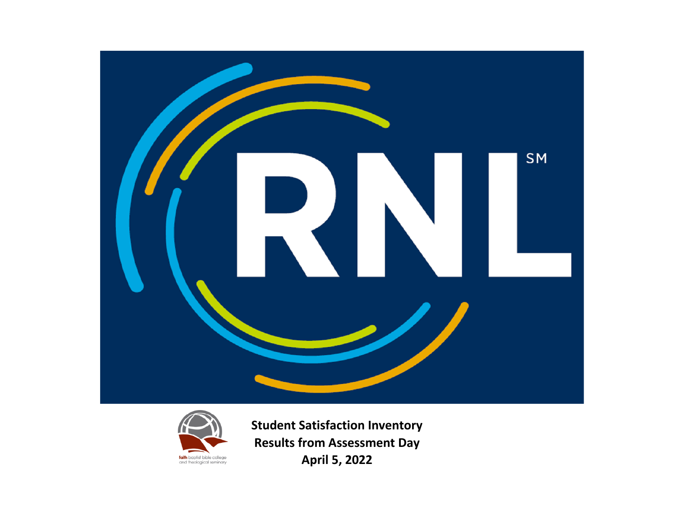



**Student Satisfaction Inventory Results from Assessment Day April 5, 2022**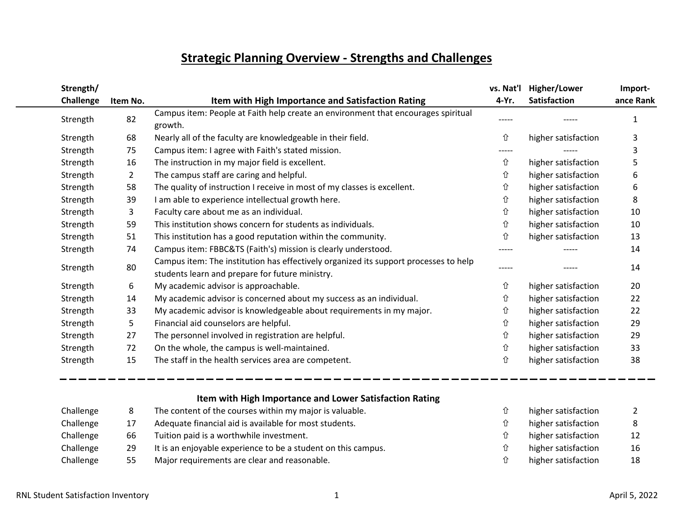## **Strategic Planning Overview - Strengths and Challenges**

| Strength/ |                |                                                                                                                                         | vs. Nat'l | Higher/Lower        | Import-   |
|-----------|----------------|-----------------------------------------------------------------------------------------------------------------------------------------|-----------|---------------------|-----------|
| Challenge | Item No.       | Item with High Importance and Satisfaction Rating                                                                                       | 4-Yr.     | <b>Satisfaction</b> | ance Rank |
| Strength  | 82             | Campus item: People at Faith help create an environment that encourages spiritual<br>growth.                                            |           |                     |           |
| Strength  | 68             | Nearly all of the faculty are knowledgeable in their field.                                                                             | ⇧         | higher satisfaction | 3         |
| Strength  | 75             | Campus item: I agree with Faith's stated mission.                                                                                       | -----     |                     | 3         |
| Strength  | 16             | The instruction in my major field is excellent.                                                                                         | ⇧         | higher satisfaction | 5         |
| Strength  | $\overline{2}$ | The campus staff are caring and helpful.                                                                                                | 仚         | higher satisfaction | 6         |
| Strength  | 58             | The quality of instruction I receive in most of my classes is excellent.                                                                | ⇧         | higher satisfaction | 6         |
| Strength  | 39             | I am able to experience intellectual growth here.                                                                                       | ⇧         | higher satisfaction | 8         |
| Strength  | 3              | Faculty care about me as an individual.                                                                                                 | ⇧         | higher satisfaction | 10        |
| Strength  | 59             | This institution shows concern for students as individuals.                                                                             | ⇧         | higher satisfaction | 10        |
| Strength  | 51             | This institution has a good reputation within the community.                                                                            | 仚         | higher satisfaction | 13        |
| Strength  | 74             | Campus item: FBBC&TS (Faith's) mission is clearly understood.                                                                           |           |                     | 14        |
| Strength  | 80             | Campus item: The institution has effectively organized its support processes to help<br>students learn and prepare for future ministry. | -----     |                     | 14        |
| Strength  | 6              | My academic advisor is approachable.                                                                                                    | ⇧         | higher satisfaction | 20        |
| Strength  | 14             | My academic advisor is concerned about my success as an individual.                                                                     | 仚         | higher satisfaction | 22        |
| Strength  | 33             | My academic advisor is knowledgeable about requirements in my major.                                                                    | 仚         | higher satisfaction | 22        |
| Strength  | 5              | Financial aid counselors are helpful.                                                                                                   | ⇧         | higher satisfaction | 29        |
| Strength  | 27             | The personnel involved in registration are helpful.                                                                                     | ⇧         | higher satisfaction | 29        |
| Strength  | 72             | On the whole, the campus is well-maintained.                                                                                            | ⇧         | higher satisfaction | 33        |
| Strength  | 15             | The staff in the health services area are competent.                                                                                    | 仚         | higher satisfaction | 38        |

### **Item with High Importance and Lower Satisfaction Rating**

| Challenge |    | The content of the courses within my major is valuable.       | higher satisfaction | $\mathbf{2}$ |
|-----------|----|---------------------------------------------------------------|---------------------|--------------|
| Challenge |    | Adequate financial aid is available for most students.        | higher satisfaction | 8            |
| Challenge | 66 | Tuition paid is a worthwhile investment.                      | higher satisfaction | 12           |
| Challenge | 29 | It is an enjoyable experience to be a student on this campus. | higher satisfaction | 16           |
| Challenge | 55 | Major requirements are clear and reasonable.                  | higher satisfaction | 18           |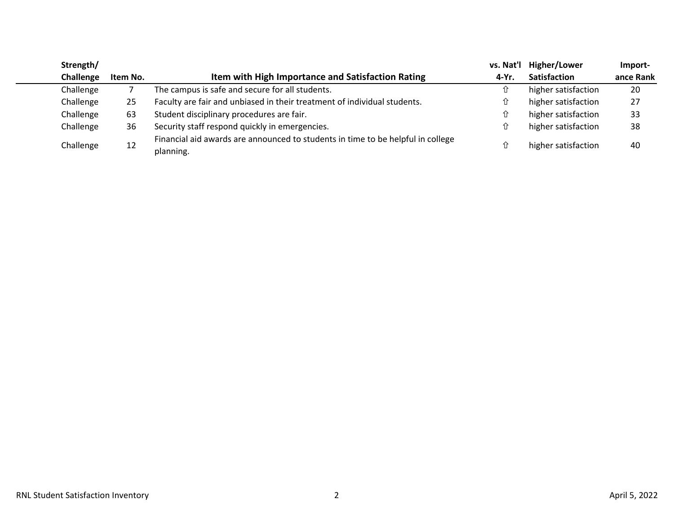| Strength/ |          |                                                                                 | vs. Nat'l | Higher/Lower        | Import-   |
|-----------|----------|---------------------------------------------------------------------------------|-----------|---------------------|-----------|
| Challenge | Item No. | Item with High Importance and Satisfaction Rating                               | 4-Yr.     | <b>Satisfaction</b> | ance Rank |
| Challenge |          | The campus is safe and secure for all students.                                 | ⇧         | higher satisfaction | 20        |
| Challenge | 25       | Faculty are fair and unbiased in their treatment of individual students.        | ⇧         | higher satisfaction | 27        |
| Challenge | 63       | Student disciplinary procedures are fair.                                       | ⇧         | higher satisfaction | 33        |
| Challenge | 36       | Security staff respond quickly in emergencies.                                  | ⇧         | higher satisfaction | 38        |
|           |          | Financial aid awards are announced to students in time to be helpful in college |           |                     |           |
| Challenge | 12       | planning.                                                                       | ⇧         | higher satisfaction | 40        |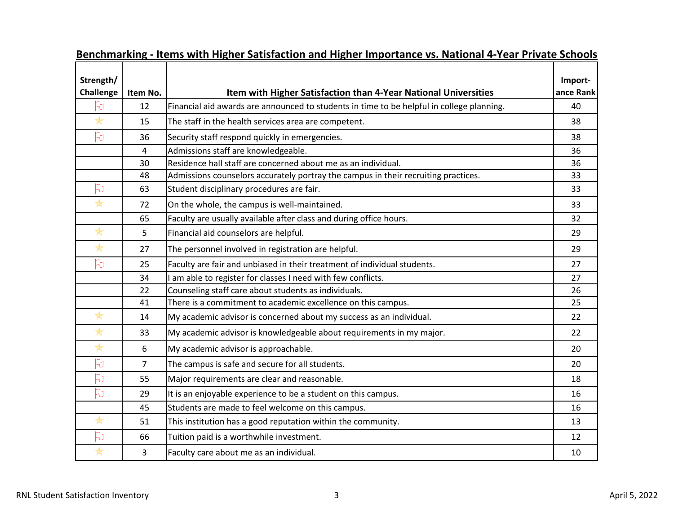| Strength/              |                |                                                                                           | Import-   |
|------------------------|----------------|-------------------------------------------------------------------------------------------|-----------|
| <b>Challenge</b>       | Item No.       | Item with Higher Satisfaction than 4-Year National Universities                           | ance Rank |
| 凡                      | 12             | Financial aid awards are announced to students in time to be helpful in college planning. | 40        |
| $\frac{1}{N}$          | 15             | The staff in the health services area are competent.                                      | 38        |
| 凡                      | 36             | Security staff respond quickly in emergencies.                                            | 38        |
|                        | $\overline{4}$ | Admissions staff are knowledgeable.                                                       | 36        |
|                        | 30             | Residence hall staff are concerned about me as an individual.                             | 36        |
|                        | 48             | Admissions counselors accurately portray the campus in their recruiting practices.        | 33        |
| 凡                      | 63             | Student disciplinary procedures are fair.                                                 | 33        |
| $\star$                | 72             | On the whole, the campus is well-maintained.                                              | 33        |
|                        | 65             | Faculty are usually available after class and during office hours.                        | 32        |
| *                      | 5              | Financial aid counselors are helpful.                                                     | 29        |
| $\frac{1}{N}$          | 27             | The personnel involved in registration are helpful.                                       | 29        |
| 凡                      | 25             | Faculty are fair and unbiased in their treatment of individual students.                  | 27        |
|                        | 34             | I am able to register for classes I need with few conflicts.                              | 27        |
|                        | 22             | Counseling staff care about students as individuals.                                      | 26        |
|                        | 41             | There is a commitment to academic excellence on this campus.                              | 25        |
| ₩                      | 14             | My academic advisor is concerned about my success as an individual.                       | 22        |
| $\star$                | 33             | My academic advisor is knowledgeable about requirements in my major.                      | 22        |
| $\frac{1}{\mathbb{X}}$ | 6              | My academic advisor is approachable.                                                      | 20        |
| 凡                      | $\overline{7}$ | The campus is safe and secure for all students.                                           | 20        |
| 凡                      | 55             | Major requirements are clear and reasonable.                                              | 18        |
| 凡                      | 29             | It is an enjoyable experience to be a student on this campus.                             | 16        |
|                        | 45             | Students are made to feel welcome on this campus.                                         | 16        |
| *                      | 51             | This institution has a good reputation within the community.                              | 13        |
| 凡                      | 66             | Tuition paid is a worthwhile investment.                                                  | 12        |
| $\star$                | $\overline{3}$ | Faculty care about me as an individual.                                                   | 10        |

### **Benchmarking - Items with Higher Satisfaction and Higher Importance vs. National 4-Year Private Schools**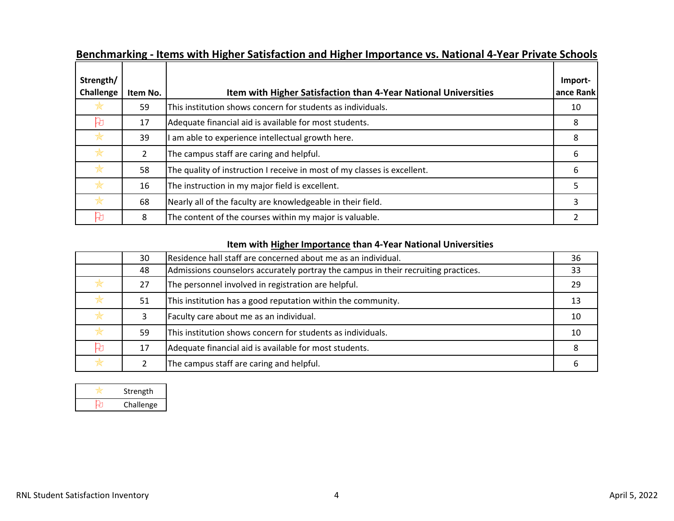| Strength/ |               |                                                                          | Import-   |
|-----------|---------------|--------------------------------------------------------------------------|-----------|
| Challenge | Item No.      | Item with Higher Satisfaction than 4-Year National Universities          | ance Rank |
| ✬         | 59            | This institution shows concern for students as individuals.              | 10        |
| 压         | 17            | Adequate financial aid is available for most students.                   | 8         |
| $\ast$    | 39            | am able to experience intellectual growth here.                          | 8         |
| $\ast$    | $\mathcal{L}$ | The campus staff are caring and helpful.                                 | 6         |
| $\ast$    | 58            | The quality of instruction I receive in most of my classes is excellent. | 6         |
|           | 16            | The instruction in my major field is excellent.                          |           |
| $\ast$    | 68            | Nearly all of the faculty are knowledgeable in their field.              | 3         |
| €         | 8             | The content of the courses within my major is valuable.                  |           |

### **Benchmarking - Items with Higher Satisfaction and Higher Importance vs. National 4-Year Private Schools**

### **Item with Higher Importance than 4-Year National Universities**

|   | 30 | Residence hall staff are concerned about me as an individual.                      | 36 |
|---|----|------------------------------------------------------------------------------------|----|
|   | 48 | Admissions counselors accurately portray the campus in their recruiting practices. | 33 |
| ₩ | 27 | The personnel involved in registration are helpful.                                | 29 |
| ₩ | 51 | This institution has a good reputation within the community.                       | 13 |
| ₩ |    | Faculty care about me as an individual.                                            | 10 |
| ₩ | 59 | This institution shows concern for students as individuals.                        | 10 |
| h | 17 | Adequate financial aid is available for most students.                             |    |
|   |    | The campus staff are caring and helpful.                                           |    |

| Strength  |
|-----------|
| Challenge |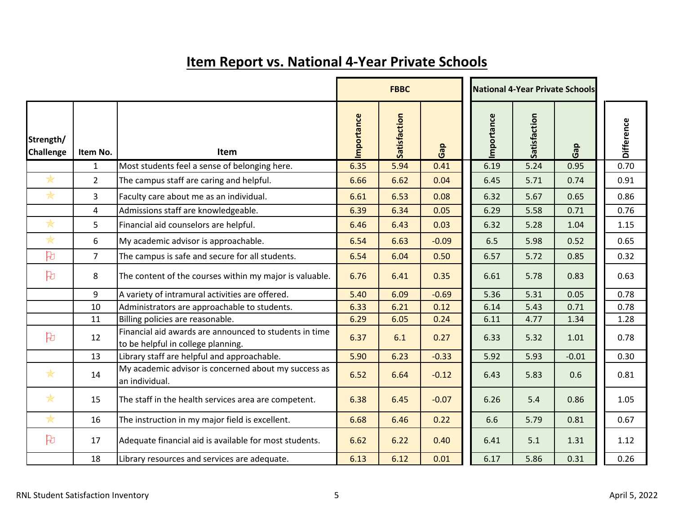|                               |                |                                                                                              |            | <b>FBBC</b>  |         | National 4-Year Private Schools |              |         |  |            |
|-------------------------------|----------------|----------------------------------------------------------------------------------------------|------------|--------------|---------|---------------------------------|--------------|---------|--|------------|
| Strength/<br><b>Challenge</b> | Item No.       | <b>Item</b>                                                                                  | Importance | Satisfaction | Gap     | Importance                      | Satisfaction | Gap     |  | Difference |
|                               | $\mathbf{1}$   | Most students feel a sense of belonging here.                                                | 6.35       | 5.94         | 0.41    | 6.19                            | 5.24         | 0.95    |  | 0.70       |
| $\frac{1}{N}$                 | $\overline{2}$ | The campus staff are caring and helpful.                                                     | 6.66       | 6.62         | 0.04    | 6.45                            | 5.71         | 0.74    |  | 0.91       |
| $\ast$                        | $\overline{3}$ | Faculty care about me as an individual.                                                      | 6.61       | 6.53         | 0.08    | 6.32                            | 5.67         | 0.65    |  | 0.86       |
|                               | $\overline{4}$ | Admissions staff are knowledgeable.                                                          | 6.39       | 6.34         | 0.05    | 6.29                            | 5.58         | 0.71    |  | 0.76       |
| $\ast$                        | 5              | Financial aid counselors are helpful.                                                        | 6.46       | 6.43         | 0.03    | 6.32                            | 5.28         | 1.04    |  | 1.15       |
| $\ast$                        | 6              | My academic advisor is approachable.                                                         | 6.54       | 6.63         | $-0.09$ | 6.5                             | 5.98         | 0.52    |  | 0.65       |
| B                             | $\overline{7}$ | The campus is safe and secure for all students.                                              | 6.54       | 6.04         | 0.50    | 6.57                            | 5.72         | 0.85    |  | 0.32       |
| $\beta$                       | 8              | The content of the courses within my major is valuable.                                      | 6.76       | 6.41         | 0.35    | 6.61                            | 5.78         | 0.83    |  | 0.63       |
|                               | 9              | A variety of intramural activities are offered.                                              | 5.40       | 6.09         | $-0.69$ | 5.36                            | 5.31         | 0.05    |  | 0.78       |
|                               | 10             | Administrators are approachable to students.                                                 | 6.33       | 6.21         | 0.12    | 6.14                            | 5.43         | 0.71    |  | 0.78       |
|                               | 11             | Billing policies are reasonable.                                                             | 6.29       | 6.05         | 0.24    | 6.11                            | 4.77         | 1.34    |  | 1.28       |
| 凡                             | 12             | Financial aid awards are announced to students in time<br>to be helpful in college planning. | 6.37       | 6.1          | 0.27    | 6.33                            | 5.32         | 1.01    |  | 0.78       |
|                               | 13             | Library staff are helpful and approachable.                                                  | 5.90       | 6.23         | $-0.33$ | 5.92                            | 5.93         | $-0.01$ |  | 0.30       |
| $\ast$                        | 14             | My academic advisor is concerned about my success as<br>an individual.                       | 6.52       | 6.64         | $-0.12$ | 6.43                            | 5.83         | 0.6     |  | 0.81       |
| $\frac{1}{N}$                 | 15             | The staff in the health services area are competent.                                         | 6.38       | 6.45         | $-0.07$ | 6.26                            | 5.4          | 0.86    |  | 1.05       |
| $\ast$                        | 16             | The instruction in my major field is excellent.                                              | 6.68       | 6.46         | 0.22    | 6.6                             | 5.79         | 0.81    |  | 0.67       |
| $\mathbb{B}$                  | 17             | Adequate financial aid is available for most students.                                       | 6.62       | 6.22         | 0.40    | 6.41                            | 5.1          | 1.31    |  | 1.12       |
|                               | 18             | Library resources and services are adequate.                                                 | 6.13       | 6.12         | 0.01    | 6.17                            | 5.86         | 0.31    |  | 0.26       |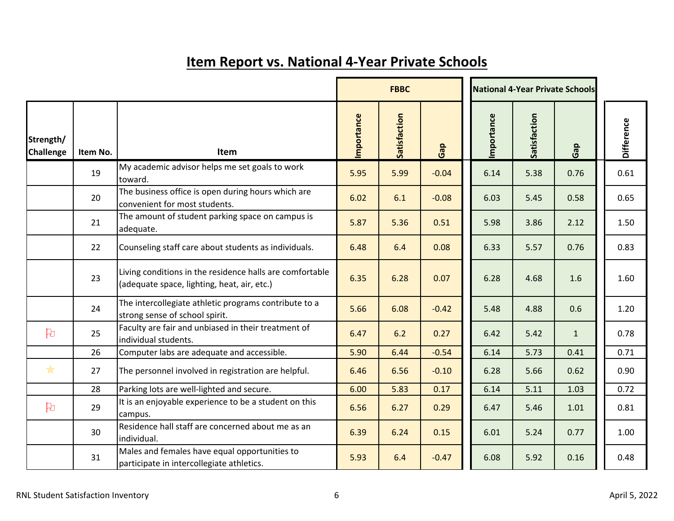|                               |          |                                                                                                         |            | National 4-Year Private Schools |         |  |            |              |              |  |                   |
|-------------------------------|----------|---------------------------------------------------------------------------------------------------------|------------|---------------------------------|---------|--|------------|--------------|--------------|--|-------------------|
| Strength/<br><b>Challenge</b> | Item No. | <b>Item</b>                                                                                             | Importance | Satisfaction                    | Gap     |  | Importance | Satisfaction | Gap          |  | <b>Difference</b> |
|                               | 19       | My academic advisor helps me set goals to work<br>toward.                                               | 5.95       | 5.99                            | $-0.04$ |  | 6.14       | 5.38         | 0.76         |  | 0.61              |
|                               | 20       | The business office is open during hours which are<br>convenient for most students.                     | 6.02       | 6.1                             | $-0.08$ |  | 6.03       | 5.45         | 0.58         |  | 0.65              |
|                               | 21       | The amount of student parking space on campus is<br>adequate.                                           | 5.87       | 5.36                            | 0.51    |  | 5.98       | 3.86         | 2.12         |  | 1.50              |
|                               | 22       | Counseling staff care about students as individuals.                                                    | 6.48       | 6.4                             | 0.08    |  | 6.33       | 5.57         | 0.76         |  | 0.83              |
|                               | 23       | Living conditions in the residence halls are comfortable<br>(adequate space, lighting, heat, air, etc.) | 6.35       | 6.28                            | 0.07    |  | 6.28       | 4.68         | 1.6          |  | 1.60              |
|                               | 24       | The intercollegiate athletic programs contribute to a<br>strong sense of school spirit.                 | 5.66       | 6.08                            | $-0.42$ |  | 5.48       | 4.88         | 0.6          |  | 1.20              |
| 凡                             | 25       | Faculty are fair and unbiased in their treatment of<br>individual students.                             | 6.47       | 6.2                             | 0.27    |  | 6.42       | 5.42         | $\mathbf{1}$ |  | 0.78              |
|                               | 26       | Computer labs are adequate and accessible.                                                              | 5.90       | 6.44                            | $-0.54$ |  | 6.14       | 5.73         | 0.41         |  | 0.71              |
| $*$                           | 27       | The personnel involved in registration are helpful.                                                     | 6.46       | 6.56                            | $-0.10$ |  | 6.28       | 5.66         | 0.62         |  | 0.90              |
|                               | 28       | Parking lots are well-lighted and secure.                                                               | 6.00       | 5.83                            | 0.17    |  | 6.14       | 5.11         | 1.03         |  | 0.72              |
| 凡                             | 29       | It is an enjoyable experience to be a student on this<br>campus.                                        | 6.56       | 6.27                            | 0.29    |  | 6.47       | 5.46         | 1.01         |  | 0.81              |
|                               | 30       | Residence hall staff are concerned about me as an<br>individual.                                        | 6.39       | 6.24                            | 0.15    |  | 6.01       | 5.24         | 0.77         |  | 1.00              |
|                               | 31       | Males and females have equal opportunities to<br>participate in intercollegiate athletics.              | 5.93       | 6.4                             | $-0.47$ |  | 6.08       | 5.92         | 0.16         |  | 0.48              |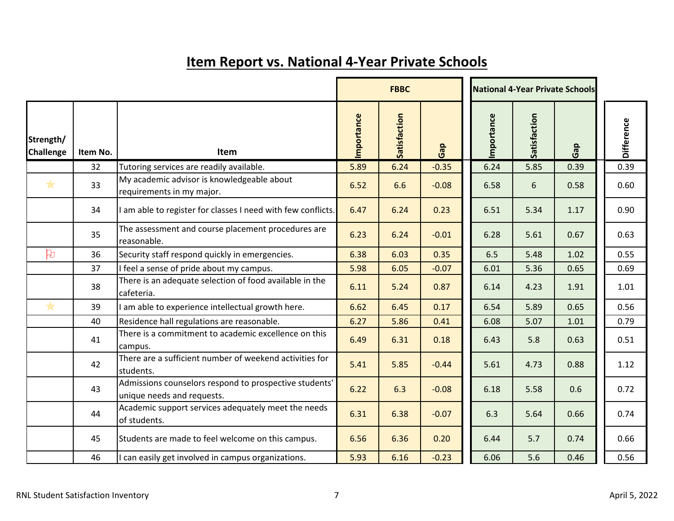|                               |          |                                                                                      | <b>FBBC</b> |              |         |  |            |              | <b>National 4-Year Private Schools</b> |  |            |
|-------------------------------|----------|--------------------------------------------------------------------------------------|-------------|--------------|---------|--|------------|--------------|----------------------------------------|--|------------|
| Strength/<br><b>Challenge</b> | Item No. | Item                                                                                 | Importance  | Satisfaction | Gap     |  | Importance | Satisfaction | Gap                                    |  | Difference |
|                               | 32       | Tutoring services are readily available.                                             | 5.89        | 6.24         | $-0.35$ |  | 6.24       | 5.85         | 0.39                                   |  | 0.39       |
| $\frac{1}{N}$                 | 33       | My academic advisor is knowledgeable about<br>requirements in my major.              | 6.52        | 6.6          | $-0.08$ |  | 6.58       | 6            | 0.58                                   |  | 0.60       |
|                               | 34       | am able to register for classes I need with few conflicts.                           | 6.47        | 6.24         | 0.23    |  | 6.51       | 5.34         | 1.17                                   |  | 0.90       |
|                               | 35       | The assessment and course placement procedures are<br>reasonable.                    | 6.23        | 6.24         | $-0.01$ |  | 6.28       | 5.61         | 0.67                                   |  | 0.63       |
| H                             | 36       | Security staff respond quickly in emergencies.                                       | 6.38        | 6.03         | 0.35    |  | 6.5        | 5.48         | 1.02                                   |  | 0.55       |
|                               | 37       | I feel a sense of pride about my campus.                                             | 5.98        | 6.05         | $-0.07$ |  | 6.01       | 5.36         | 0.65                                   |  | 0.69       |
|                               | 38       | There is an adequate selection of food available in the<br>cafeteria.                | 6.11        | 5.24         | 0.87    |  | 6.14       | 4.23         | 1.91                                   |  | 1.01       |
| $\ast$                        | 39       | am able to experience intellectual growth here.                                      | 6.62        | 6.45         | 0.17    |  | 6.54       | 5.89         | 0.65                                   |  | 0.56       |
|                               | 40       | Residence hall regulations are reasonable.                                           | 6.27        | 5.86         | 0.41    |  | 6.08       | 5.07         | 1.01                                   |  | 0.79       |
|                               | 41       | There is a commitment to academic excellence on this<br>campus.                      | 6.49        | 6.31         | 0.18    |  | 6.43       | 5.8          | 0.63                                   |  | 0.51       |
|                               | 42       | There are a sufficient number of weekend activities for<br>students.                 | 5.41        | 5.85         | $-0.44$ |  | 5.61       | 4.73         | 0.88                                   |  | 1.12       |
|                               | 43       | Admissions counselors respond to prospective students'<br>unique needs and requests. | 6.22        | 6.3          | $-0.08$ |  | 6.18       | 5.58         | 0.6                                    |  | 0.72       |
|                               | 44       | Academic support services adequately meet the needs<br>of students.                  | 6.31        | 6.38         | $-0.07$ |  | 6.3        | 5.64         | 0.66                                   |  | 0.74       |
|                               | 45       | Students are made to feel welcome on this campus.                                    | 6.56        | 6.36         | 0.20    |  | 6.44       | 5.7          | 0.74                                   |  | 0.66       |
|                               | 46       | can easily get involved in campus organizations.                                     | 5.93        | 6.16         | $-0.23$ |  | 6.06       | 5.6          | 0.46                                   |  | 0.56       |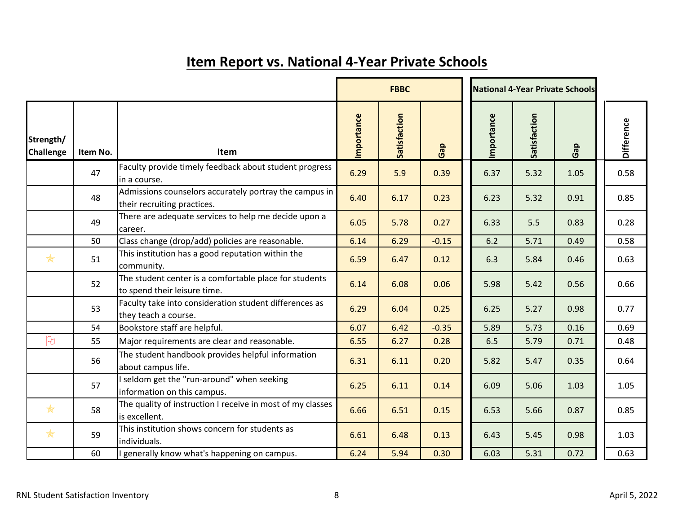|                               |          |                                                                                        |            | <b>National 4-Year Private Schools</b> |         |  |            |              |      |            |
|-------------------------------|----------|----------------------------------------------------------------------------------------|------------|----------------------------------------|---------|--|------------|--------------|------|------------|
| Strength/<br><b>Challenge</b> | Item No. | Item                                                                                   | Importance | Satisfaction                           | Gap     |  | Importance | Satisfaction | Gap  | Difference |
|                               | 47       | Faculty provide timely feedback about student progress<br>in a course.                 | 6.29       | 5.9                                    | 0.39    |  | 6.37       | 5.32         | 1.05 | 0.58       |
|                               | 48       | Admissions counselors accurately portray the campus in<br>their recruiting practices.  | 6.40       | 6.17                                   | 0.23    |  | 6.23       | 5.32         | 0.91 | 0.85       |
|                               | 49       | There are adequate services to help me decide upon a<br>career.                        | 6.05       | 5.78                                   | 0.27    |  | 6.33       | 5.5          | 0.83 | 0.28       |
|                               | 50       | Class change (drop/add) policies are reasonable.                                       | 6.14       | 6.29                                   | $-0.15$ |  | 6.2        | 5.71         | 0.49 | 0.58       |
| $\frac{1}{N}$                 | 51       | This institution has a good reputation within the<br>community.                        | 6.59       | 6.47                                   | 0.12    |  | 6.3        | 5.84         | 0.46 | 0.63       |
|                               | 52       | The student center is a comfortable place for students<br>to spend their leisure time. | 6.14       | 6.08                                   | 0.06    |  | 5.98       | 5.42         | 0.56 | 0.66       |
|                               | 53       | Faculty take into consideration student differences as<br>they teach a course.         | 6.29       | 6.04                                   | 0.25    |  | 6.25       | 5.27         | 0.98 | 0.77       |
|                               | 54       | Bookstore staff are helpful.                                                           | 6.07       | 6.42                                   | $-0.35$ |  | 5.89       | 5.73         | 0.16 | 0.69       |
| h                             | 55       | Major requirements are clear and reasonable.                                           | 6.55       | 6.27                                   | 0.28    |  | 6.5        | 5.79         | 0.71 | 0.48       |
|                               | 56       | The student handbook provides helpful information<br>about campus life.                | 6.31       | 6.11                                   | 0.20    |  | 5.82       | 5.47         | 0.35 | 0.64       |
|                               | 57       | I seldom get the "run-around" when seeking<br>information on this campus.              | 6.25       | 6.11                                   | 0.14    |  | 6.09       | 5.06         | 1.03 | 1.05       |
| *                             | 58       | The quality of instruction I receive in most of my classes<br>is excellent.            | 6.66       | 6.51                                   | 0.15    |  | 6.53       | 5.66         | 0.87 | 0.85       |
| *                             | 59       | This institution shows concern for students as<br>individuals.                         | 6.61       | 6.48                                   | 0.13    |  | 6.43       | 5.45         | 0.98 | 1.03       |
|                               | 60       | generally know what's happening on campus.                                             | 6.24       | 5.94                                   | 0.30    |  | 6.03       | 5.31         | 0.72 | 0.63       |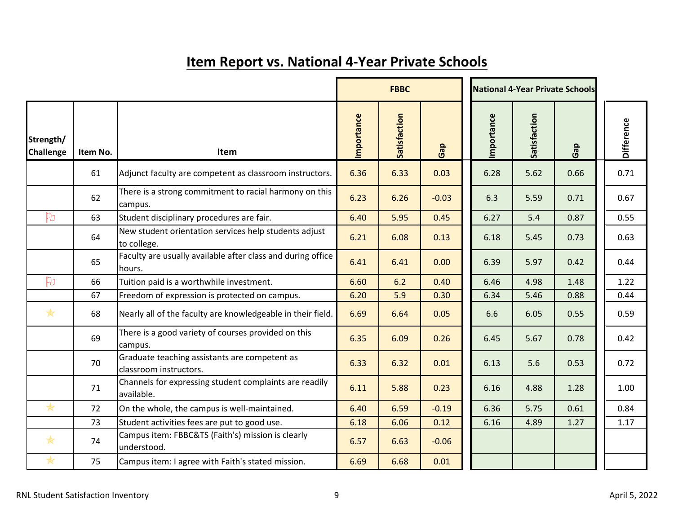|                               |          |                                                                         | <b>FBBC</b> |              |         | <b>National 4-Year Private Schools</b> |              |      |                   |
|-------------------------------|----------|-------------------------------------------------------------------------|-------------|--------------|---------|----------------------------------------|--------------|------|-------------------|
| Strength/<br><b>Challenge</b> | Item No. | Item                                                                    | Importance  | Satisfaction | Gap     | Importance                             | Satisfaction | Gap  | <b>Difference</b> |
|                               | 61       | Adjunct faculty are competent as classroom instructors.                 | 6.36        | 6.33         | 0.03    | 6.28                                   | 5.62         | 0.66 | 0.71              |
|                               | 62       | There is a strong commitment to racial harmony on this<br>campus.       | 6.23        | 6.26         | $-0.03$ | 6.3                                    | 5.59         | 0.71 | 0.67              |
| $\mathbb{R}$                  | 63       | Student disciplinary procedures are fair.                               | 6.40        | 5.95         | 0.45    | 6.27                                   | 5.4          | 0.87 | 0.55              |
|                               | 64       | New student orientation services help students adjust<br>to college.    | 6.21        | 6.08         | 0.13    | 6.18                                   | 5.45         | 0.73 | 0.63              |
|                               | 65       | Faculty are usually available after class and during office<br>hours.   | 6.41        | 6.41         | 0.00    | 6.39                                   | 5.97         | 0.42 | 0.44              |
| $\mathbb{R}$                  | 66       | Tuition paid is a worthwhile investment.                                | 6.60        | 6.2          | 0.40    | 6.46                                   | 4.98         | 1.48 | 1.22              |
|                               | 67       | Freedom of expression is protected on campus.                           | 6.20        | 5.9          | 0.30    | 6.34                                   | 5.46         | 0.88 | 0.44              |
| $*$                           | 68       | Nearly all of the faculty are knowledgeable in their field.             | 6.69        | 6.64         | 0.05    | 6.6                                    | 6.05         | 0.55 | 0.59              |
|                               | 69       | There is a good variety of courses provided on this<br>campus.          | 6.35        | 6.09         | 0.26    | 6.45                                   | 5.67         | 0.78 | 0.42              |
|                               | 70       | Graduate teaching assistants are competent as<br>classroom instructors. | 6.33        | 6.32         | 0.01    | 6.13                                   | 5.6          | 0.53 | 0.72              |
|                               | 71       | Channels for expressing student complaints are readily<br>available.    | 6.11        | 5.88         | 0.23    | 6.16                                   | 4.88         | 1.28 | 1.00              |
| $\frac{1}{N}$                 | 72       | On the whole, the campus is well-maintained.                            | 6.40        | 6.59         | $-0.19$ | 6.36                                   | 5.75         | 0.61 | 0.84              |
|                               | 73       | Student activities fees are put to good use.                            | 6.18        | 6.06         | 0.12    | 6.16                                   | 4.89         | 1.27 | 1.17              |
| *                             | 74       | Campus item: FBBC&TS (Faith's) mission is clearly<br>understood.        | 6.57        | 6.63         | $-0.06$ |                                        |              |      |                   |
| $\frac{1}{\mathbb{X}}$        | 75       | Campus item: I agree with Faith's stated mission.                       | 6.69        | 6.68         | 0.01    |                                        |              |      |                   |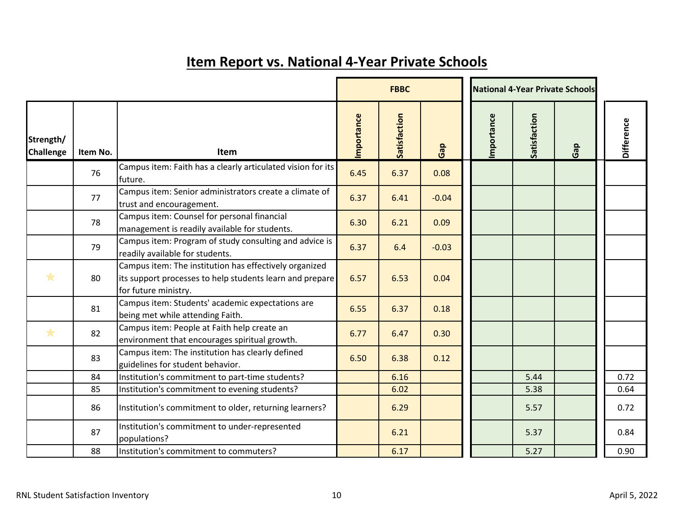|                               |          |                                                                                                                                            |            | <b>FBBC</b>  |         |            |              | <b>National 4-Year Private Schools</b> |  |            |
|-------------------------------|----------|--------------------------------------------------------------------------------------------------------------------------------------------|------------|--------------|---------|------------|--------------|----------------------------------------|--|------------|
| Strength/<br><b>Challenge</b> | Item No. | Item                                                                                                                                       | Importance | Satisfaction | Gap     | Importance | Satisfaction | Gap                                    |  | Difference |
|                               | 76       | Campus item: Faith has a clearly articulated vision for its<br>future.                                                                     | 6.45       | 6.37         | 0.08    |            |              |                                        |  |            |
|                               | 77       | Campus item: Senior administrators create a climate of<br>trust and encouragement.                                                         | 6.37       | 6.41         | $-0.04$ |            |              |                                        |  |            |
|                               | 78       | Campus item: Counsel for personal financial<br>management is readily available for students.                                               | 6.30       | 6.21         | 0.09    |            |              |                                        |  |            |
|                               | 79       | Campus item: Program of study consulting and advice is<br>readily available for students.                                                  | 6.37       | 6.4          | $-0.03$ |            |              |                                        |  |            |
| $\frac{1}{\mathbb{X}}$        | 80       | Campus item: The institution has effectively organized<br>its support processes to help students learn and prepare<br>for future ministry. | 6.57       | 6.53         | 0.04    |            |              |                                        |  |            |
|                               | 81       | Campus item: Students' academic expectations are<br>being met while attending Faith.                                                       | 6.55       | 6.37         | 0.18    |            |              |                                        |  |            |
| $\frac{1}{\mathbb{X}}$        | 82       | Campus item: People at Faith help create an<br>environment that encourages spiritual growth.                                               | 6.77       | 6.47         | 0.30    |            |              |                                        |  |            |
|                               | 83       | Campus item: The institution has clearly defined<br>guidelines for student behavior.                                                       | 6.50       | 6.38         | 0.12    |            |              |                                        |  |            |
|                               | 84       | Institution's commitment to part-time students?                                                                                            |            | 6.16         |         |            | 5.44         |                                        |  | 0.72       |
|                               | 85       | Institution's commitment to evening students?                                                                                              |            | 6.02         |         |            | 5.38         |                                        |  | 0.64       |
|                               | 86       | Institution's commitment to older, returning learners?                                                                                     |            | 6.29         |         |            | 5.57         |                                        |  | 0.72       |
|                               | 87       | Institution's commitment to under-represented<br>populations?                                                                              |            | 6.21         |         |            | 5.37         |                                        |  | 0.84       |
|                               | 88       | Institution's commitment to commuters?                                                                                                     |            | 6.17         |         |            | 5.27         |                                        |  | 0.90       |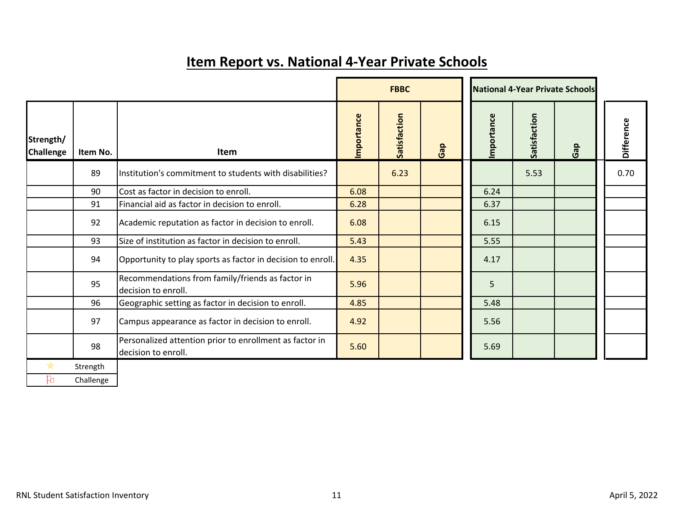|                               |           |                                                                                |            | <b>FBBC</b>  |     | <b>National 4-Year Private Schools</b> |              |     |                   |
|-------------------------------|-----------|--------------------------------------------------------------------------------|------------|--------------|-----|----------------------------------------|--------------|-----|-------------------|
| Strength/<br><b>Challenge</b> | Item No.  | Item                                                                           | Importance | Satisfaction | Gap | Importance                             | Satisfaction | Gap | <b>Difference</b> |
|                               | 89        | Institution's commitment to students with disabilities?                        |            | 6.23         |     |                                        | 5.53         |     | 0.70              |
|                               | 90        | Cost as factor in decision to enroll.                                          | 6.08       |              |     | 6.24                                   |              |     |                   |
|                               | 91        | Financial aid as factor in decision to enroll.                                 | 6.28       |              |     | 6.37                                   |              |     |                   |
|                               | 92        | Academic reputation as factor in decision to enroll.                           | 6.08       |              |     | 6.15                                   |              |     |                   |
|                               | 93        | Size of institution as factor in decision to enroll.                           | 5.43       |              |     | 5.55                                   |              |     |                   |
|                               | 94        | Opportunity to play sports as factor in decision to enroll.                    | 4.35       |              |     | 4.17                                   |              |     |                   |
|                               | 95        | Recommendations from family/friends as factor in<br>decision to enroll.        | 5.96       |              |     | 5                                      |              |     |                   |
|                               | 96        | Geographic setting as factor in decision to enroll.                            | 4.85       |              |     | 5.48                                   |              |     |                   |
|                               | 97        | Campus appearance as factor in decision to enroll.                             | 4.92       |              |     | 5.56                                   |              |     |                   |
|                               | 98        | Personalized attention prior to enrollment as factor in<br>decision to enroll. | 5.60       |              |     | 5.69                                   |              |     |                   |
| ₩                             | Strength  |                                                                                |            |              |     |                                        |              |     |                   |
| Þ                             | Challenge |                                                                                |            |              |     |                                        |              |     |                   |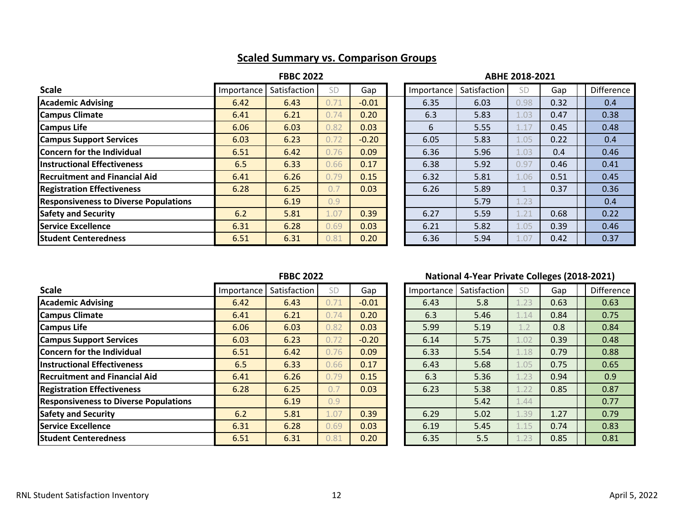## **Scaled Summary vs. Comparison Groups**

### **FBBC 2022 ABHE 2018-2021**

| <b>Scale</b>                                 | Importance | Satisfaction | SD   | Gap     | Importance | Satisfaction | SD   | Gap  | Difference |
|----------------------------------------------|------------|--------------|------|---------|------------|--------------|------|------|------------|
| <b>Academic Advising</b>                     | 6.42       | 6.43         | 0.71 | $-0.01$ | 6.35       | 6.03         | 0.98 | 0.32 | 0.4        |
| <b>Campus Climate</b>                        | 6.41       | 6.21         | 0.74 | 0.20    | 6.3        | 5.83         | 1.03 | 0.47 | 0.38       |
| <b>Campus Life</b>                           | 6.06       | 6.03         | 0.82 | 0.03    | 6          | 5.55         | 1.17 | 0.45 | 0.48       |
| <b>Campus Support Services</b>               | 6.03       | 6.23         | 0.72 | $-0.20$ | 6.05       | 5.83         | 1.05 | 0.22 | 0.4        |
| Concern for the Individual                   | 6.51       | 6.42         | 0.76 | 0.09    | 6.36       | 5.96         | 1.03 | 0.4  | 0.46       |
| <b>Instructional Effectiveness</b>           | 6.5        | 6.33         | 0.66 | 0.17    | 6.38       | 5.92         | 0.97 | 0.46 | 0.41       |
| <b>Recruitment and Financial Aid</b>         | 6.41       | 6.26         | 0.79 | 0.15    | 6.32       | 5.81         | 1.06 | 0.51 | 0.45       |
| <b>Registration Effectiveness</b>            | 6.28       | 6.25         | 0.7  | 0.03    | 6.26       | 5.89         |      | 0.37 | 0.36       |
| <b>Responsiveness to Diverse Populations</b> |            | 6.19         | 0.9  |         |            | 5.79         | 1.23 |      | 0.4        |
| <b>Safety and Security</b>                   | 6.2        | 5.81         | 1.07 | 0.39    | 6.27       | 5.59         | 1.21 | 0.68 | 0.22       |
| <b>Service Excellence</b>                    | 6.31       | 6.28         | 0.69 | 0.03    | 6.21       | 5.82         | 1.05 | 0.39 | 0.46       |
| <b>Student Centeredness</b>                  | 6.51       | 6.31         | 0.81 | 0.20    | 6.36       | 5.94         | 1.07 | 0.42 | 0.37       |

| Importance | Satisfaction | SD           | Gap  | <b>Difference</b> |
|------------|--------------|--------------|------|-------------------|
| 6.35       | 6.03         | 0.98         | 0.32 | 0.4               |
| 6.3        | 5.83         | 1.03         | 0.47 | 0.38              |
| 6          | 5.55         | 1.17         | 0.45 | 0.48              |
| 6.05       | 5.83         | 1.05         | 0.22 | 0.4               |
| 6.36       | 5.96         | 1.03         | 0.4  | 0.46              |
| 6.38       | 5.92         | 0.97         | 0.46 | 0.41              |
| 6.32       | 5.81         | 1.06         | 0.51 | 0.45              |
| 6.26       | 5.89         | $\mathbf{1}$ | 0.37 | 0.36              |
|            | 5.79         | 1.23         |      | 0.4               |
| 6.27       | 5.59         | 1.21         | 0.68 | 0.22              |
| 6.21       | 5.82         | 1.05         | 0.39 | 0.46              |
| 6.36       | 5.94         | 1.07         | 0.42 | 0.37              |

| <b>Scale</b>                                 | Importance | Satisfaction | SD   | Gap     | Importance | Satisfaction | SD   | Gap  | Difference |
|----------------------------------------------|------------|--------------|------|---------|------------|--------------|------|------|------------|
| <b>Academic Advising</b>                     | 6.42       | 6.43         | 0.71 | $-0.01$ | 6.43       | 5.8          | 1.23 | 0.63 | 0.63       |
| <b>Campus Climate</b>                        | 6.41       | 6.21         | 0.74 | 0.20    | 6.3        | 5.46         | 1.14 | 0.84 | 0.75       |
| <b>Campus Life</b>                           | 6.06       | 6.03         | 0.82 | 0.03    | 5.99       | 5.19         | 1.2  | 0.8  | 0.84       |
| <b>Campus Support Services</b>               | 6.03       | 6.23         | 0.72 | $-0.20$ | 6.14       | 5.75         | 1.02 | 0.39 | 0.48       |
| <b>Concern for the Individual</b>            | 6.51       | 6.42         | 0.76 | 0.09    | 6.33       | 5.54         | 1.18 | 0.79 | 0.88       |
| <b>Instructional Effectiveness</b>           | 6.5        | 6.33         | 0.66 | 0.17    | 6.43       | 5.68         | 1.05 | 0.75 | 0.65       |
| <b>Recruitment and Financial Aid</b>         | 6.41       | 6.26         | 0.79 | 0.15    | 6.3        | 5.36         | 1.23 | 0.94 | 0.9        |
| <b>Registration Effectiveness</b>            | 6.28       | 6.25         | 0.7  | 0.03    | 6.23       | 5.38         | 1.22 | 0.85 | 0.87       |
| <b>Responsiveness to Diverse Populations</b> |            | 6.19         | 0.9  |         |            | 5.42         | 1.44 |      | 0.77       |
| <b>Safety and Security</b>                   | 6.2        | 5.81         | 1.07 | 0.39    | 6.29       | 5.02         | 1.39 | 1.27 | 0.79       |
| Service Excellence                           | 6.31       | 6.28         | 0.69 | 0.03    | 6.19       | 5.45         | 1.15 | 0.74 | 0.83       |
| <b>Student Centeredness</b>                  | 6.51       | 6.31         | 0.81 | 0.20    | 6.35       | 5.5          | 1.23 | 0.85 | 0.81       |

### **FBBC 2022 National 4-Year Private Colleges (2018-2021)**

| Importance | Satisfaction | SD   | Gap  | Difference |
|------------|--------------|------|------|------------|
| 6.43       | 5.8          | 1.23 | 0.63 | 0.63       |
| 6.3        | 5.46         | 1.14 | 0.84 | 0.75       |
| 5.99       | 5.19         | 1.2  | 0.8  | 0.84       |
| 6.14       | 5.75         | 1.02 | 0.39 | 0.48       |
| 6.33       | 5.54         | 1.18 | 0.79 | 0.88       |
| 6.43       | 5.68         | 1.05 | 0.75 | 0.65       |
| 6.3        | 5.36         | 1.23 | 0.94 | 0.9        |
| 6.23       | 5.38         | 1.22 | 0.85 | 0.87       |
|            | 5.42         | 1.44 |      | 0.77       |
| 6.29       | 5.02         | 1.39 | 1.27 | 0.79       |
| 6.19       | 5.45         | 1.15 | 0.74 | 0.83       |
| 6.35       | 5.5          | 1.23 | 0.85 | 0.81       |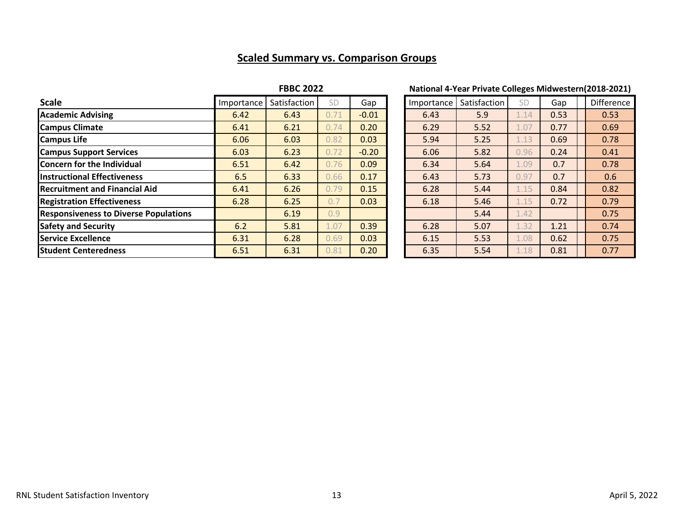## **Scaled Summary vs. Comparison Groups**

### **FBBC 2022 National 4-Year Private Colleges Midwestern(2018-2021)**

| <b>Scale</b>                                 | Importance | Satisfaction | SD   | Gap     | Importance | Satisfaction | SD   | Gap  | Difference |
|----------------------------------------------|------------|--------------|------|---------|------------|--------------|------|------|------------|
| <b>Academic Advising</b>                     | 6.42       | 6.43         | 0.71 | $-0.01$ | 6.43       | 5.9          | 1.14 | 0.53 | 0.53       |
| <b>Campus Climate</b>                        | 6.41       | 6.21         | 0.74 | 0.20    | 6.29       | 5.52         | 1.07 | 0.77 | 0.69       |
| <b>Campus Life</b>                           | 6.06       | 6.03         | 0.82 | 0.03    | 5.94       | 5.25         | 1.13 | 0.69 | 0.78       |
| <b>Campus Support Services</b>               | 6.03       | 6.23         | 0.72 | $-0.20$ | 6.06       | 5.82         | 0.96 | 0.24 | 0.41       |
| Concern for the Individual                   | 6.51       | 6.42         | 0.76 | 0.09    | 6.34       | 5.64         | 1.09 | 0.7  | 0.78       |
| <b>Instructional Effectiveness</b>           | 6.5        | 6.33         | 0.66 | 0.17    | 6.43       | 5.73         | 0.97 | 0.7  | 0.6        |
| <b>Recruitment and Financial Aid</b>         | 6.41       | 6.26         | 0.79 | 0.15    | 6.28       | 5.44         | 1.15 | 0.84 | 0.82       |
| <b>Registration Effectiveness</b>            | 6.28       | 6.25         | 0.7  | 0.03    | 6.18       | 5.46         | 1.15 | 0.72 | 0.79       |
| <b>Responsiveness to Diverse Populations</b> |            | 6.19         | 0.9  |         |            | 5.44         | 1.42 |      | 0.75       |
| <b>Safety and Security</b>                   | 6.2        | 5.81         | 1.07 | 0.39    | 6.28       | 5.07         | 1.32 | 1.21 | 0.74       |
| <b>Service Excellence</b>                    | 6.31       | 6.28         | 0.69 | 0.03    | 6.15       | 5.53         | 1.08 | 0.62 | 0.75       |
| <b>Student Centeredness</b>                  | 6.51       | 6.31         | 0.81 | 0.20    | 6.35       | 5.54         | 1.18 | 0.81 | 0.77       |

| Importance | Satisfaction | SD   | Gap  | <b>Difference</b> |
|------------|--------------|------|------|-------------------|
| 6.43       | 5.9          | 1.14 | 0.53 | 0.53              |
| 6.29       | 5.52         | 1.07 | 0.77 | 0.69              |
| 5.94       | 5.25         | 1.13 | 0.69 | 0.78              |
| 6.06       | 5.82         | 0.96 | 0.24 | 0.41              |
| 6.34       | 5.64         | 1.09 | 0.7  | 0.78              |
| 6.43       | 5.73         | 0.97 | 0.7  | 0.6               |
| 6.28       | 5.44         | 1.15 | 0.84 | 0.82              |
| 6.18       | 5.46         | 1.15 | 0.72 | 0.79              |
|            | 5.44         | 1.42 |      | 0.75              |
| 6.28       | 5.07         | 1.32 | 1.21 | 0.74              |
| 6.15       | 5.53         | 1.08 | 0.62 | 0.75              |
| 6.35       | 5.54         | 1.18 | 0.81 | 0.77              |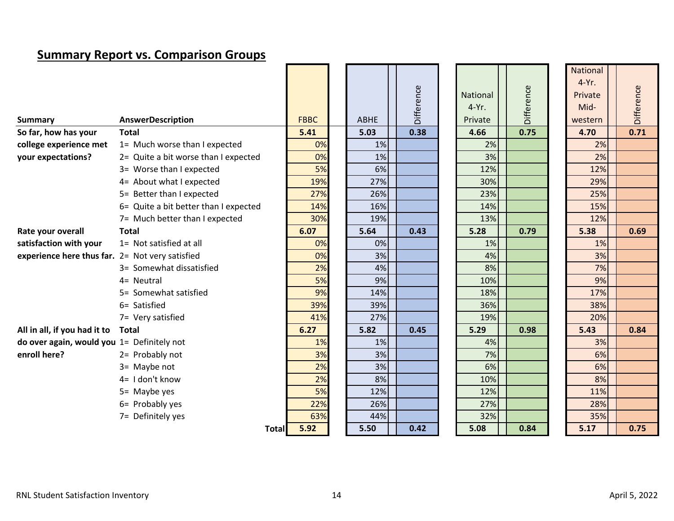## **Summary Report vs. Comparison Groups**

| <b>Summary</b>                                  | <b>AnswerDescription</b>              | <b>FBBC</b> | <b>ABHE</b> | Difference |  | <b>National</b><br>$4-Yr.$<br>Private | Difference | National<br>$4-Yr.$<br>Private<br>Mid-<br>western | Difference |
|-------------------------------------------------|---------------------------------------|-------------|-------------|------------|--|---------------------------------------|------------|---------------------------------------------------|------------|
| So far, how has your                            | <b>Total</b>                          | 5.41        | 5.03        | 0.38       |  | 4.66                                  | 0.75       | 4.70                                              | 0.71       |
| college experience met                          | 1= Much worse than I expected         | 0%          | 1%          |            |  | 2%                                    |            | 2%                                                |            |
| your expectations?                              | 2= Quite a bit worse than I expected  | 0%          | 1%          |            |  | 3%                                    |            | 2%                                                |            |
|                                                 | 3= Worse than I expected              | 5%          | 6%          |            |  | 12%                                   |            | 12%                                               |            |
|                                                 | 4= About what I expected              | 19%         | 27%         |            |  | 30%                                   |            | 29%                                               |            |
|                                                 | 5= Better than I expected             | 27%         | 26%         |            |  | 23%                                   |            | 25%                                               |            |
|                                                 | 6= Quite a bit better than I expected | 14%         | 16%         |            |  | 14%                                   |            | 15%                                               |            |
|                                                 | 7= Much better than I expected        | 30%         | 19%         |            |  | 13%                                   |            | 12%                                               |            |
| Rate your overall                               | <b>Total</b>                          | 6.07        | 5.64        | 0.43       |  | 5.28                                  | 0.79       | 5.38                                              | 0.69       |
| satisfaction with your                          | 1= Not satisfied at all               | 0%          | 0%          |            |  | 1%                                    |            | 1%                                                |            |
| experience here thus far. 2= Not very satisfied |                                       | 0%          | 3%          |            |  | 4%                                    |            | 3%                                                |            |
|                                                 | 3= Somewhat dissatisfied              | 2%          | 4%          |            |  | 8%                                    |            | 7%                                                |            |
|                                                 | 4= Neutral                            | 5%          | 9%          |            |  | 10%                                   |            | 9%                                                |            |
|                                                 | 5= Somewhat satisfied                 | 9%          | 14%         |            |  | 18%                                   |            | 17%                                               |            |
|                                                 | 6= Satisfied                          | 39%         | 39%         |            |  | 36%                                   |            | 38%                                               |            |
|                                                 | 7= Very satisfied                     | 41%         | 27%         |            |  | 19%                                   |            | 20%                                               |            |
| All in all, if you had it to                    | Total                                 | 6.27        | 5.82        | 0.45       |  | 5.29                                  | 0.98       | 5.43                                              | 0.84       |
| do over again, would you 1= Definitely not      |                                       | 1%          | 1%          |            |  | 4%                                    |            | 3%                                                |            |
| enroll here?                                    | 2= Probably not                       | 3%          | 3%          |            |  | 7%                                    |            | 6%                                                |            |
|                                                 | 3= Maybe not                          | 2%          | 3%          |            |  | 6%                                    |            | 6%                                                |            |
|                                                 | 4= I don't know                       | 2%          | 8%          |            |  | 10%                                   |            | 8%                                                |            |
|                                                 | 5= Maybe yes                          | 5%          | 12%         |            |  | 12%                                   |            | 11%                                               |            |
|                                                 | 6= Probably yes                       | 22%         | 26%         |            |  | 27%                                   |            | 28%                                               |            |
|                                                 | 7= Definitely yes                     | 63%         | 44%         |            |  | 32%                                   |            | 35%                                               |            |
|                                                 | <b>Total</b>                          | 5.92        | 5.50        | 0.42       |  | 5.08                                  | 0.84       | 5.17                                              | 0.75       |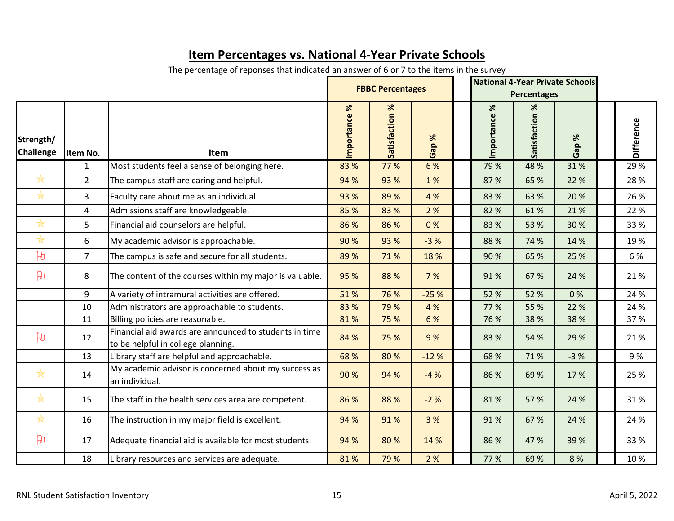|                               |                |                                                                                              | <b>FBBC Percentages</b> |                |          |  | <b>National 4-Year Private Schools</b><br><b>Percentages</b> |                   |          |  |                   |
|-------------------------------|----------------|----------------------------------------------------------------------------------------------|-------------------------|----------------|----------|--|--------------------------------------------------------------|-------------------|----------|--|-------------------|
| Strength/<br><b>Challenge</b> | Item No.       | Item                                                                                         | ℅<br>Importance         | Satisfaction % | ℅<br>Gap |  | $\aleph$<br>Importance                                       | ৼ<br>Satisfaction | ℅<br>Gap |  | <b>Difference</b> |
|                               | $\mathbf{1}$   | Most students feel a sense of belonging here.                                                | 83 %                    | 77 %           | 6 %      |  | 79 %                                                         | 48 %              | 31%      |  | 29 %              |
| $\frac{1}{N}$                 | $\overline{2}$ | The campus staff are caring and helpful.                                                     | 94 %                    | 93 %           | 1%       |  | 87 %                                                         | 65 %              | 22 %     |  | 28 %              |
| *                             | 3              | Faculty care about me as an individual.                                                      | 93 %                    | 89 %           | 4 %      |  | 83 %                                                         | 63 %              | 20 %     |  | 26 %              |
|                               | $\overline{4}$ | Admissions staff are knowledgeable.                                                          | 85 %                    | 83 %           | 2 %      |  | 82 %                                                         | 61%               | 21%      |  | 22 %              |
| $\frac{1}{N}$                 | 5              | Financial aid counselors are helpful.                                                        | 86 %                    | 86 %           | 0%       |  | 83 %                                                         | 53 %              | 30 %     |  | 33 %              |
| $\frac{1}{N}$                 | 6              | My academic advisor is approachable.                                                         | 90 %                    | 93 %           | $-3%$    |  | 88 %                                                         | 74 %              | 14 %     |  | 19%               |
| 凡                             | $\overline{7}$ | The campus is safe and secure for all students.                                              | 89 %                    | 71%            | 18 %     |  | 90%                                                          | 65 %              | 25 %     |  | 6 %               |
| 凡                             | 8              | The content of the courses within my major is valuable.                                      | 95 %                    | 88 %           | 7 %      |  | 91%                                                          | 67 %              | 24 %     |  | 21%               |
|                               | 9              | A variety of intramural activities are offered.                                              | 51%                     | 76 %           | $-25%$   |  | 52 %                                                         | 52 %              | 0%       |  | 24 %              |
|                               | 10             | Administrators are approachable to students.                                                 | 83 %                    | 79 %           | 4 %      |  | 77 %                                                         | 55 %              | 22 %     |  | 24 %              |
|                               | 11             | Billing policies are reasonable.                                                             | 81%                     | 75 %           | 6 %      |  | 76 %                                                         | 38 %              | 38 %     |  | 37 %              |
| $\beta$                       | 12             | Financial aid awards are announced to students in time<br>to be helpful in college planning. | 84 %                    | 75 %           | 9%       |  | 83 %                                                         | 54 %              | 29 %     |  | 21%               |
|                               | 13             | Library staff are helpful and approachable.                                                  | 68 %                    | 80 %           | $-12%$   |  | 68 %                                                         | 71%               | $-3%$    |  | 9%                |
| $\frac{1}{N}$                 | 14             | My academic advisor is concerned about my success as<br>an individual.                       | 90 %                    | 94 %           | $-4%$    |  | 86 %                                                         | 69 %              | 17 %     |  | 25 %              |
| $\ast$                        | 15             | The staff in the health services area are competent.                                         | 86 %                    | 88 %           | $-2%$    |  | 81%                                                          | 57 %              | 24 %     |  | 31%               |
| $\frac{1}{N}$                 | 16             | The instruction in my major field is excellent.                                              | 94 %                    | 91%            | 3 %      |  | 91%                                                          | 67 %              | 24 %     |  | 24 %              |
| 凡                             | 17             | Adequate financial aid is available for most students.                                       | 94 %                    | 80%            | 14 %     |  | 86 %                                                         | 47 %              | 39 %     |  | 33 %              |
|                               | 18             | Library resources and services are adequate.                                                 | 81%                     | 79 %           | 2 %      |  | 77 %                                                         | 69 %              | 8 %      |  | 10%               |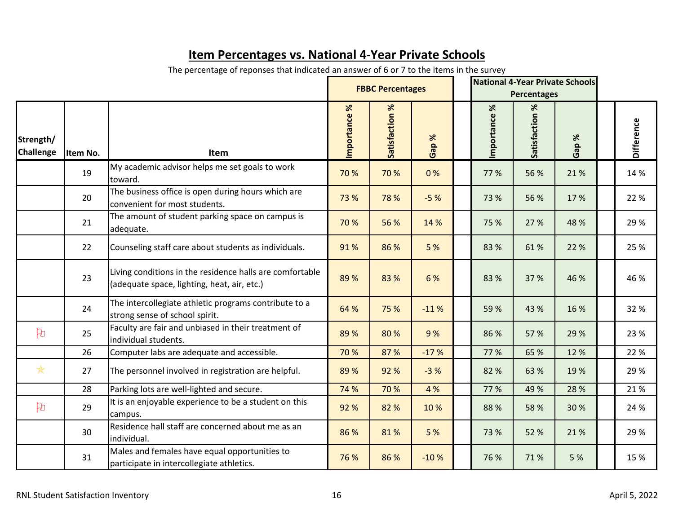|                               |          |                                                                                                         |                       | <b>FBBC Percentages</b> |             | <b>National 4-Year Private Schools</b><br><b>Percentages</b> |                |                |             |  |                   |
|-------------------------------|----------|---------------------------------------------------------------------------------------------------------|-----------------------|-------------------------|-------------|--------------------------------------------------------------|----------------|----------------|-------------|--|-------------------|
| Strength/<br><b>Challenge</b> | Item No. | Item                                                                                                    | $\aleph$<br>mportance | Satisfaction %          | $\%$<br>Gap |                                                              | ৼ<br>mportance | Satisfaction % | $\%$<br>Gap |  | <b>Difference</b> |
|                               | 19       | My academic advisor helps me set goals to work<br>toward.                                               | 70 %                  | 70 %                    | 0%          |                                                              | 77 %           | 56 %           | 21%         |  | 14 %              |
|                               | 20       | The business office is open during hours which are<br>convenient for most students.                     | 73 %                  | 78 %                    | $-5%$       |                                                              | 73 %           | 56 %           | 17 %        |  | 22 %              |
|                               | 21       | The amount of student parking space on campus is<br>adequate.                                           | 70 %                  | 56 %                    | 14 %        |                                                              | 75 %           | 27 %           | 48 %        |  | 29 %              |
|                               | 22       | Counseling staff care about students as individuals.                                                    | 91%                   | 86 %                    | 5 %         |                                                              | 83 %           | 61%            | 22 %        |  | 25 %              |
|                               | 23       | Living conditions in the residence halls are comfortable<br>(adequate space, lighting, heat, air, etc.) | 89 %                  | 83 %                    | 6 %         |                                                              | 83 %           | 37 %           | 46 %        |  | 46 %              |
|                               | 24       | The intercollegiate athletic programs contribute to a<br>strong sense of school spirit.                 | 64 %                  | 75 %                    | $-11%$      |                                                              | 59 %           | 43 %           | 16 %        |  | 32 %              |
| $\beta$                       | 25       | Faculty are fair and unbiased in their treatment of<br>individual students.                             | 89 %                  | 80%                     | 9%          |                                                              | 86 %           | 57 %           | 29 %        |  | 23 %              |
|                               | 26       | Computer labs are adequate and accessible.                                                              | 70 %                  | 87 %                    | $-17%$      |                                                              | 77 %           | 65 %           | 12 %        |  | 22 %              |
| $*$                           | 27       | The personnel involved in registration are helpful.                                                     | 89 %                  | 92 %                    | $-3%$       |                                                              | 82 %           | 63 %           | 19 %        |  | 29 %              |
|                               | 28       | Parking lots are well-lighted and secure.                                                               | 74 %                  | 70 %                    | 4 %         |                                                              | 77 %           | 49 %           | 28 %        |  | 21%               |
| $\beta$                       | 29       | It is an enjoyable experience to be a student on this<br>campus.                                        | 92 %                  | 82 %                    | 10 %        |                                                              | 88 %           | 58 %           | 30 %        |  | 24 %              |
|                               | 30       | Residence hall staff are concerned about me as an<br>individual.                                        | 86 %                  | 81%                     | 5 %         |                                                              | 73 %           | 52 %           | 21%         |  | 29 %              |
|                               | 31       | Males and females have equal opportunities to<br>participate in intercollegiate athletics.              | 76 %                  | 86 %                    | $-10%$      |                                                              | 76 %           | 71%            | 5 %         |  | 15 %              |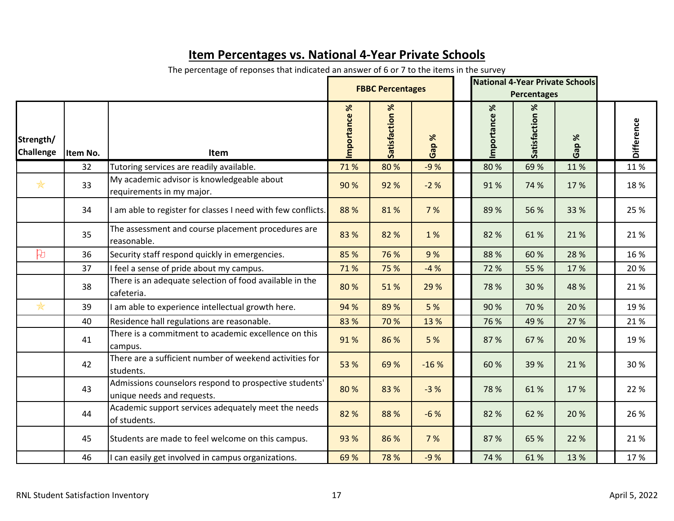|                               |          |                                                                                      |                               | <b>FBBC Percentages</b> |                    | <b>National 4-Year Private Schools</b><br><b>Percentages</b> |                 |                      |             |                   |
|-------------------------------|----------|--------------------------------------------------------------------------------------|-------------------------------|-------------------------|--------------------|--------------------------------------------------------------|-----------------|----------------------|-------------|-------------------|
| Strength/<br><b>Challenge</b> | Item No. | <b>Item</b>                                                                          | $\aleph$<br><b>Importance</b> | Se<br>Satisfaction      | $\%$<br><b>Gap</b> |                                                              | ৼ<br>Importance | $\%$<br>Satisfaction | $\%$<br>Gap | <b>Difference</b> |
|                               | 32       | Tutoring services are readily available.                                             | 71%                           | 80%                     | $-9%$              |                                                              | 80%             | 69 %                 | 11%         | 11%               |
| $\frac{1}{N}$                 | 33       | My academic advisor is knowledgeable about<br>requirements in my major.              | 90 %                          | 92 %                    | $-2%$              |                                                              | 91%             | 74 %                 | 17 %        | 18%               |
|                               | 34       | am able to register for classes I need with few conflicts.                           | 88 %                          | 81%                     | 7 %                |                                                              | 89 %            | 56 %                 | 33 %        | 25 %              |
|                               | 35       | The assessment and course placement procedures are<br>reasonable.                    | 83 %                          | 82 %                    | 1%                 |                                                              | 82 %            | 61%                  | 21 %        | 21%               |
| $\beta$                       | 36       | Security staff respond quickly in emergencies.                                       | 85 %                          | 76 %                    | 9%                 |                                                              | 88 %            | 60 %                 | 28 %        | 16 %              |
|                               | 37       | I feel a sense of pride about my campus.                                             | 71%                           | 75 %                    | $-4%$              |                                                              | 72 %            | 55 %                 | 17 %        | 20%               |
|                               | 38       | There is an adequate selection of food available in the<br>cafeteria.                | 80 %                          | 51%                     | 29 %               |                                                              | 78 %            | 30 %                 | 48 %        | 21%               |
| *                             | 39       | am able to experience intellectual growth here.                                      | 94 %                          | 89 %                    | 5 %                |                                                              | 90%             | 70 %                 | 20 %        | 19 %              |
|                               | 40       | Residence hall regulations are reasonable.                                           | 83 %                          | 70 %                    | 13 %               |                                                              | 76 %            | 49 %                 | 27 %        | 21%               |
|                               | 41       | There is a commitment to academic excellence on this<br>campus.                      | 91%                           | 86 %                    | 5 %                |                                                              | 87 %            | 67 %                 | 20 %        | 19 %              |
|                               | 42       | There are a sufficient number of weekend activities for<br>students.                 | 53 %                          | 69 %                    | $-16%$             |                                                              | 60 %            | 39 %                 | 21 %        | 30 %              |
|                               | 43       | Admissions counselors respond to prospective students'<br>unique needs and requests. | 80%                           | 83 %                    | $-3%$              |                                                              | 78 %            | 61%                  | 17 %        | 22 %              |
|                               | 44       | Academic support services adequately meet the needs<br>of students.                  | 82 %                          | 88 %                    | $-6%$              |                                                              | 82 %            | 62 %                 | 20 %        | 26 %              |
|                               | 45       | Students are made to feel welcome on this campus.                                    | 93 %                          | 86 %                    | 7 %                |                                                              | 87 %            | 65 %                 | 22 %        | 21%               |
|                               | 46       | can easily get involved in campus organizations.                                     | 69 %                          | 78 %                    | $-9%$              |                                                              | 74 %            | 61%                  | 13 %        | 17%               |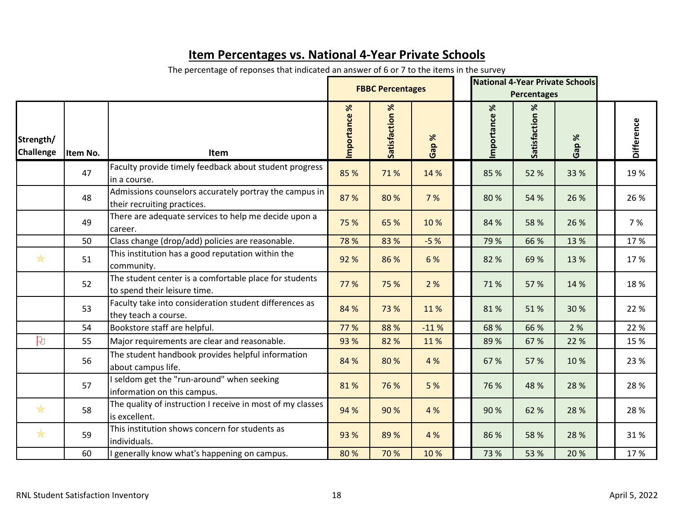|                               |          |                                                                                        | <b>FBBC Percentages</b> |                   |                      | <b>National 4-Year Private Schools</b><br><b>Percentages</b> |                           |                   |                              |                   |
|-------------------------------|----------|----------------------------------------------------------------------------------------|-------------------------|-------------------|----------------------|--------------------------------------------------------------|---------------------------|-------------------|------------------------------|-------------------|
| Strength/<br><b>Challenge</b> | Item No. | <b>Item</b>                                                                            | $\aleph$<br>Importance  | X<br>Satisfaction | $\aleph$<br>Gap<br>G |                                                              | $\%$<br><b>Importance</b> | X<br>Satisfaction | $\aleph$<br>Gap <sup>'</sup> | <b>Difference</b> |
|                               | 47       | Faculty provide timely feedback about student progress<br>in a course.                 | 85 %                    | 71%               | 14 %                 |                                                              | 85 %                      | 52 %              | 33 %                         | 19 %              |
|                               | 48       | Admissions counselors accurately portray the campus in<br>their recruiting practices.  | 87 %                    | 80%               | 7 %                  |                                                              | 80%                       | 54 %              | 26 %                         | 26 %              |
|                               | 49       | There are adequate services to help me decide upon a<br>career.                        | 75 %                    | 65 %              | 10 %                 |                                                              | 84 %                      | 58 %              | 26 %                         | 7 %               |
|                               | 50       | Class change (drop/add) policies are reasonable.                                       | 78 %                    | 83 %              | $-5%$                |                                                              | 79 %                      | 66 %              | 13 %                         | 17%               |
| $\frac{1}{N}$                 | 51       | This institution has a good reputation within the<br>community.                        | 92 %                    | 86 %              | 6 %                  |                                                              | 82 %                      | 69 %              | 13 %                         | 17%               |
|                               | 52       | The student center is a comfortable place for students<br>to spend their leisure time. | 77 %                    | 75 %              | 2 %                  |                                                              | 71%                       | 57 %              | 14 %                         | 18%               |
|                               | 53       | Faculty take into consideration student differences as<br>they teach a course.         | 84 %                    | 73 %              | 11%                  |                                                              | 81%                       | 51%               | 30 %                         | 22 %              |
|                               | 54       | Bookstore staff are helpful.                                                           | 77 %                    | 88 %              | $-11%$               |                                                              | 68 %                      | 66 %              | 2 %                          | 22 %              |
| 凡                             | 55       | Major requirements are clear and reasonable.                                           | 93 %                    | 82 %              | 11%                  |                                                              | 89 %                      | 67 %              | 22 %                         | 15 %              |
|                               | 56       | The student handbook provides helpful information<br>about campus life.                | 84 %                    | 80 %              | 4 %                  |                                                              | 67 %                      | 57 %              | 10%                          | 23 %              |
|                               | 57       | seldom get the "run-around" when seeking<br>information on this campus.                | 81%                     | 76 %              | 5 %                  |                                                              | 76 %                      | 48 %              | 28 %                         | 28 %              |
| $\frac{1}{N}$                 | 58       | The quality of instruction I receive in most of my classes<br>is excellent.            | 94 %                    | 90 %              | 4 %                  |                                                              | 90 %                      | 62 %              | 28 %                         | 28 %              |
| $\frac{1}{N}$                 | 59       | This institution shows concern for students as<br>individuals.                         | 93 %                    | 89 %              | 4 %                  |                                                              | 86 %                      | 58 %              | 28 %                         | 31%               |
|                               | 60       | generally know what's happening on campus.                                             | 80%                     | 70 %              | 10 %                 |                                                              | 73 %                      | 53 %              | 20 %                         | 17%               |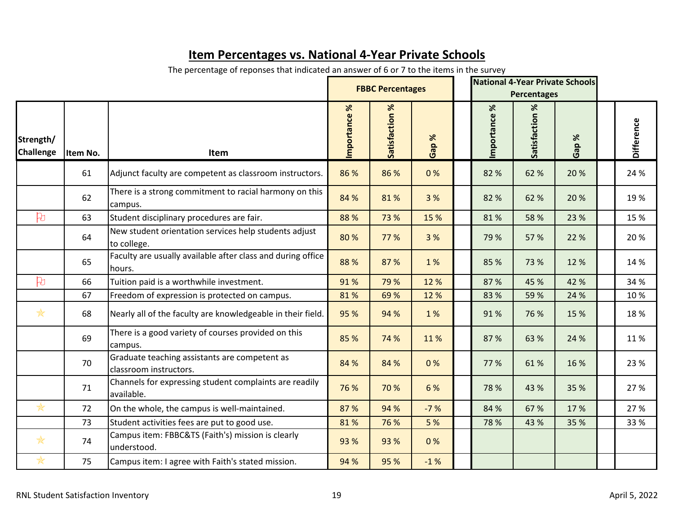|                               |          |                                                                         |                |                       | <b>National 4-Year Private Schools</b><br><b>FBBC Percentages</b><br><b>Percentages</b> |  |                |                      |             |                   |
|-------------------------------|----------|-------------------------------------------------------------------------|----------------|-----------------------|-----------------------------------------------------------------------------------------|--|----------------|----------------------|-------------|-------------------|
| Strength/<br><b>Challenge</b> | Item No. | Item                                                                    | %<br>mportance | <b>Satisfaction %</b> | $\%$<br>Gap                                                                             |  | %<br>mportance | $\%$<br>Satisfaction | $\%$<br>Gap | <b>Difference</b> |
|                               | 61       | Adjunct faculty are competent as classroom instructors.                 | 86 %           | 86 %                  | 0%                                                                                      |  | 82 %           | 62 %                 | 20 %        | 24 %              |
|                               | 62       | There is a strong commitment to racial harmony on this<br>campus.       | 84 %           | 81%                   | 3 %                                                                                     |  | 82 %           | 62 %                 | 20 %        | 19 %              |
| 凡                             | 63       | Student disciplinary procedures are fair.                               | 88 %           | 73 %                  | 15 %                                                                                    |  | 81%            | 58 %                 | 23 %        | 15 %              |
|                               | 64       | New student orientation services help students adjust<br>to college.    | 80 %           | 77 %                  | 3 %                                                                                     |  | 79 %           | 57 %                 | 22 %        | 20 %              |
|                               | 65       | Faculty are usually available after class and during office<br>hours.   | 88 %           | 87 %                  | 1 %                                                                                     |  | 85 %           | 73 %                 | 12 %        | 14 %              |
| 凡                             | 66       | Tuition paid is a worthwhile investment.                                | 91%            | 79 %                  | 12 %                                                                                    |  | 87 %           | 45 %                 | 42 %        | 34 %              |
|                               | 67       | Freedom of expression is protected on campus.                           | 81%            | 69 %                  | 12 %                                                                                    |  | 83 %           | 59 %                 | 24 %        | 10%               |
| $\frac{1}{N}$                 | 68       | Nearly all of the faculty are knowledgeable in their field.             | 95 %           | 94 %                  | 1 %                                                                                     |  | 91%            | 76 %                 | 15 %        | 18%               |
|                               | 69       | There is a good variety of courses provided on this<br>campus.          | 85 %           | 74 %                  | 11%                                                                                     |  | 87 %           | 63 %                 | 24 %        | 11%               |
|                               | 70       | Graduate teaching assistants are competent as<br>classroom instructors. | 84 %           | 84 %                  | 0%                                                                                      |  | 77 %           | 61%                  | 16 %        | 23 %              |
|                               | 71       | Channels for expressing student complaints are readily<br>available.    |                | 70 %                  | 6 %                                                                                     |  | 78 %           | 43 %                 | 35 %        | 27 %              |
| *                             | 72       | On the whole, the campus is well-maintained.                            | 87 %           | 94 %                  | $-7%$                                                                                   |  | 84 %           | 67 %                 | 17%         | 27 %              |
|                               | 73       | Student activities fees are put to good use.                            | 81%            | 76 %                  | 5 %                                                                                     |  | 78 %           | 43 %                 | 35 %        | 33 %              |
| $\frac{1}{N}$                 | 74       | Campus item: FBBC&TS (Faith's) mission is clearly<br>understood.        | 93 %           | 93 %                  | 0%                                                                                      |  |                |                      |             |                   |
| ₩                             | 75       | Campus item: I agree with Faith's stated mission.                       | 94 %           | 95 %                  | $-1%$                                                                                   |  |                |                      |             |                   |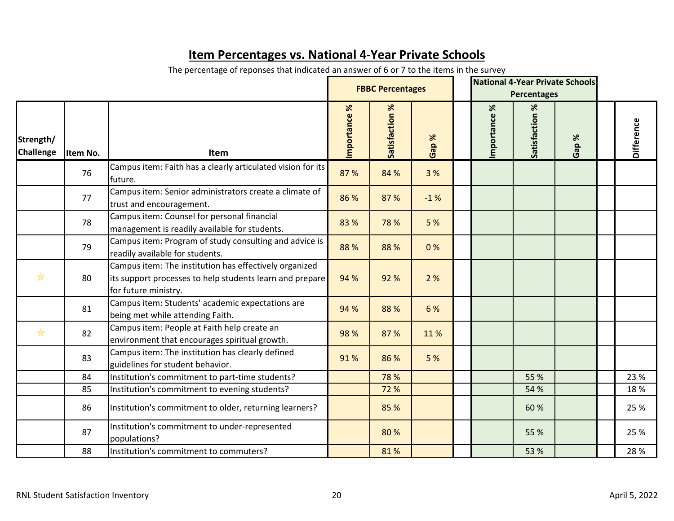|                               |          |                                                                                                                                            |                       | <b>FBBC Percentages</b> |                       | <b>National 4-Year Private Schools</b><br><b>Percentages</b> |                   |                              |            |
|-------------------------------|----------|--------------------------------------------------------------------------------------------------------------------------------------------|-----------------------|-------------------------|-----------------------|--------------------------------------------------------------|-------------------|------------------------------|------------|
| Strength/<br><b>Challenge</b> | Item No. | <b>Item</b>                                                                                                                                | $\aleph$<br>mportance | Satisfaction %          | ℅<br>Gap <sup>'</sup> | mportance %                                                  | ℅<br>Satisfaction | $\aleph$<br>Gap <sup>'</sup> | Difference |
|                               | 76       | Campus item: Faith has a clearly articulated vision for its<br>future.                                                                     | 87 %                  | 84 %                    | 3 %                   |                                                              |                   |                              |            |
|                               | 77       | Campus item: Senior administrators create a climate of<br>trust and encouragement.                                                         | 86 %                  | 87 %                    | $-1%$                 |                                                              |                   |                              |            |
|                               | 78       | Campus item: Counsel for personal financial<br>management is readily available for students.                                               | 83 %                  | 78 %                    | 5 %                   |                                                              |                   |                              |            |
|                               | 79       | Campus item: Program of study consulting and advice is<br>readily available for students.                                                  | 88 %                  | 88 %                    | 0%                    |                                                              |                   |                              |            |
| $\frac{1}{N}$                 | 80       | Campus item: The institution has effectively organized<br>its support processes to help students learn and prepare<br>for future ministry. | 94 %                  | 92 %                    | 2%                    |                                                              |                   |                              |            |
|                               | 81       | Campus item: Students' academic expectations are<br>being met while attending Faith.                                                       | 94 %                  | 88 %                    | 6 %                   |                                                              |                   |                              |            |
| $\frac{1}{N}$                 | 82       | Campus item: People at Faith help create an<br>environment that encourages spiritual growth.                                               | 98 %                  | 87 %                    | 11%                   |                                                              |                   |                              |            |
|                               | 83       | Campus item: The institution has clearly defined<br>guidelines for student behavior.                                                       | 91%                   | 86 %                    | 5 %                   |                                                              |                   |                              |            |
|                               | 84       | Institution's commitment to part-time students?                                                                                            |                       | 78 %                    |                       |                                                              | 55 %              |                              | 23 %       |
|                               | 85       | Institution's commitment to evening students?                                                                                              |                       | 72 %                    |                       |                                                              | 54 %              |                              | 18%        |
|                               | 86       | Institution's commitment to older, returning learners?                                                                                     |                       | 85 %                    |                       |                                                              | 60 %              |                              | 25 %       |
|                               | 87       | Institution's commitment to under-represented<br>populations?                                                                              |                       | 80 %                    |                       |                                                              | 55 %              |                              | 25 %       |
|                               | 88       | Institution's commitment to commuters?                                                                                                     |                       | 81%                     |                       |                                                              | 53 %              |                              | 28 %       |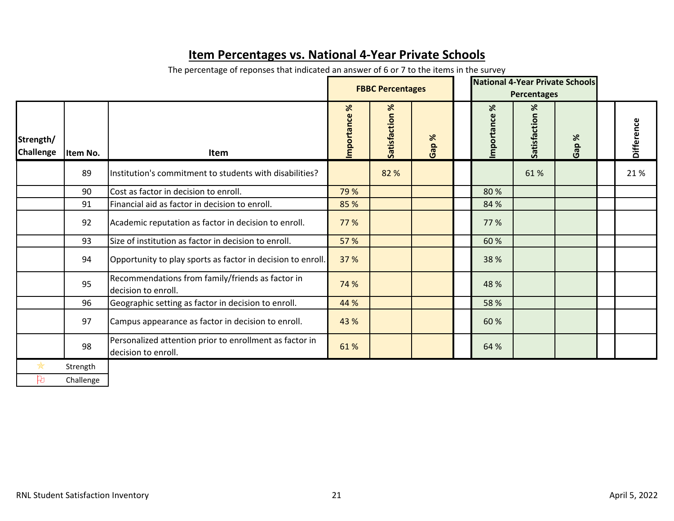|                               |           |                                                                                |                        | <b>FBBC Percentages</b> |      | <b>National 4-Year Private Schools</b><br><b>Percentages</b> |                   |                       |                   |
|-------------------------------|-----------|--------------------------------------------------------------------------------|------------------------|-------------------------|------|--------------------------------------------------------------|-------------------|-----------------------|-------------------|
| Strength/<br><b>Challenge</b> | Item No.  | Item                                                                           | $\aleph$<br>Importance | Satisfaction %          | Gap% | $\aleph$<br>Importance                                       | %<br>Satisfaction | %<br>Gap <sup>'</sup> | <b>Difference</b> |
|                               | 89        | Institution's commitment to students with disabilities?                        |                        | 82 %                    |      |                                                              | 61%               |                       | 21%               |
|                               | 90        | Cost as factor in decision to enroll.                                          | 79 %                   |                         |      | 80%                                                          |                   |                       |                   |
|                               | 91        | Financial aid as factor in decision to enroll.                                 | 85 %                   |                         |      | 84 %                                                         |                   |                       |                   |
|                               | 92        | Academic reputation as factor in decision to enroll.                           | 77 %                   |                         |      | 77 %                                                         |                   |                       |                   |
|                               | 93        | Size of institution as factor in decision to enroll.                           | 57 %                   |                         |      | 60 %                                                         |                   |                       |                   |
|                               | 94        | Opportunity to play sports as factor in decision to enroll.                    | 37 %                   |                         |      | 38 %                                                         |                   |                       |                   |
|                               | 95        | Recommendations from family/friends as factor in<br>decision to enroll.        | 74 %                   |                         |      | 48 %                                                         |                   |                       |                   |
|                               | 96        | Geographic setting as factor in decision to enroll.                            | 44 %                   |                         |      | 58 %                                                         |                   |                       |                   |
|                               | 97        | Campus appearance as factor in decision to enroll.                             | 43 %                   |                         |      | 60 %                                                         |                   |                       |                   |
|                               | 98        | Personalized attention prior to enrollment as factor in<br>decision to enroll. | 61%                    |                         |      | 64 %                                                         |                   |                       |                   |
|                               | Strength  |                                                                                |                        |                         |      |                                                              |                   |                       |                   |
| Þ                             | Challenge |                                                                                |                        |                         |      |                                                              |                   |                       |                   |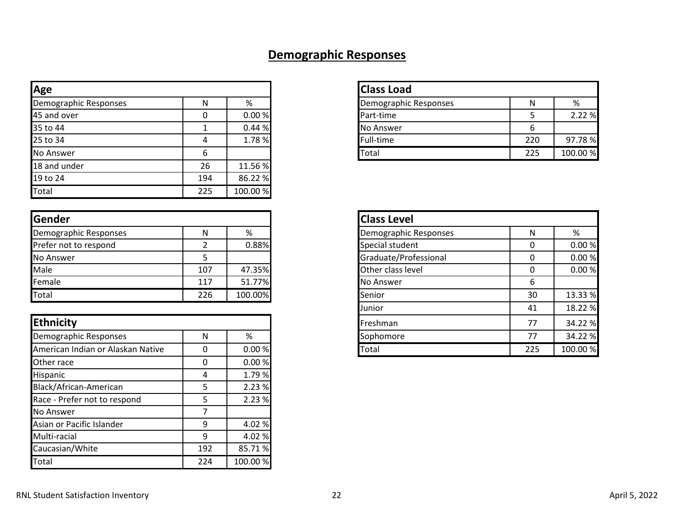## **Demographic Responses**

| Age                   |     |          | <b>Class Load</b>     |     |       |
|-----------------------|-----|----------|-----------------------|-----|-------|
| Demographic Responses | N   | %        | Demographic Responses | N   |       |
| 45 and over           |     | 0.00 %   | Part-time             |     | 2.2   |
| 35 to 44              |     | 0.44%    | No Answer             |     |       |
| 25 to 34              | 4   | 1.78%    | Full-time             | 220 | 97.   |
| No Answer             |     |          | Total                 | 225 | 100.0 |
| 18 and under          | 26  | 11.56 %  |                       |     |       |
| 19 to 24              | 194 | 86.22 %  |                       |     |       |
| Total                 | 225 | 100.00 % |                       |     |       |

| <b>Gender</b>         |     |         | <b>Class Level</b>    |    |      |
|-----------------------|-----|---------|-----------------------|----|------|
| Demographic Responses | N   | %       | Demographic Responses | N  | %    |
| Prefer not to respond |     | 0.88%   | Special student       |    | 0.0  |
| No Answer             |     |         | Graduate/Professional |    | 0.0  |
| Male                  | 107 | 47.35%  | Other class level     |    | 0.0  |
| Female                | 117 | 51.77%  | No Answer             |    |      |
| Total                 | 226 | 100.00% | Senior                | 30 | 13.3 |

| Ethnicity                         |     |          |
|-----------------------------------|-----|----------|
| Demographic Responses             | N   | %        |
| American Indian or Alaskan Native | O   | 0.00%    |
| Other race                        | O   | 0.00%    |
| Hispanic                          | 4   | 1.79%    |
| Black/African-American            | 5   | 2.23 %   |
| Race - Prefer not to respond      | 5   | 2.23 %   |
| No Answer                         | 7   |          |
| Asian or Pacific Islander         | 9   | 4.02 %   |
| Multi-racial                      | 9   | 4.02 %   |
| Caucasian/White                   | 192 | 85.71%   |
| Total                             | 224 | 100.00 % |

| Age                   |   |       |  |
|-----------------------|---|-------|--|
| Demographic Responses |   | %     |  |
| 45 and over           |   | 0.00% |  |
| 35 to 44              |   | 0.44% |  |
| 25 to 34              | 4 | 1.78% |  |
| No Answer             |   |       |  |

| Gender                            |     |         |
|-----------------------------------|-----|---------|
| Demographic Responses             | N   | %       |
| Prefer not to respond             |     | 0.88%   |
| No Answer                         | 5   |         |
| Male                              | 107 | 47.35%  |
| Female                            | 117 | 51.77%  |
| Total                             | 226 | 100.00% |
|                                   |     |         |
| <b>Ethnicity</b>                  |     |         |
| Demographic Responses             | N   | %       |
| American Indian or Alaskan Native | 0   | 0.00%   |
|                                   |     |         |